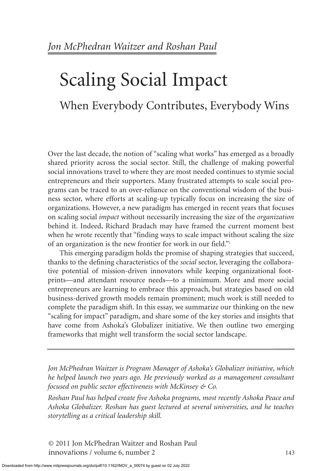# Scaling Social Impact When Everybody Contributes, Everybody Wins

Over the last decade, the notion of "scaling what works" has emerged as a broadly shared priority across the social sector. Still, the challenge of making powerful social innovations travel to where they are most needed continues to stymie social entrepreneurs and their supporters. Many frustrated attempts to scale social programs can be traced to an over-reliance on the conventional wisdom of the business sector, where efforts at scaling-up typically focus on increasing the size of organizations. However, a new paradigm has emerged in recent years that focuses on scaling social *impact* without necessarily increasing the size of the *organization* behind it. Indeed, Richard Bradach may have framed the current moment best when he wrote recently that "finding ways to scale impact without scaling the size of an organization is the new frontier for work in our field."1

This emerging paradigm holds the promise of shaping strategies that succeed, thanks to the defining characteristics of the *social* sector, leveraging the collaborative potential of mission-driven innovators while keeping organizational footprints—and attendant resource needs—to a minimum. More and more social entrepreneurs are learning to embrace this approach, but strategies based on old business-derived growth models remain prominent; much work is still needed to complete the paradigm shift. In this essay, we summarize our thinking on the new "scaling for impact" paradigm, and share some of the key stories and insights that have come from Ashoka's Globalizer initiative. We then outline two emerging frameworks that might well transform the social sector landscape.

*Jon McPhedran Waitzer is Program Manager of Ashoka's Globalizer initiative, which he helped launch two years ago. He previously worked as a management consultant focused on public sector effectiveness with McKinsey & Co.*

*Roshan Paul has helped create five Ashoka programs, most recently Ashoka Peace and Ashoka Globalizer. Roshan has guest lectured at several universities, and he teaches storytelling as a critical leadership skill.* 

© 2011 Jon McPhedran Waitzer and Roshan Paul innova*t*ions / volume 6, number 2 <sup>143</sup>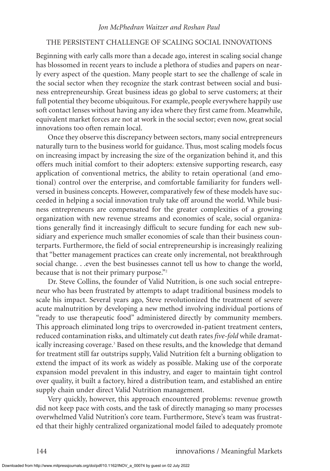#### THE PERSISTENT CHALLENGE OF SCALING SOCIAL INNOVATIONS

Beginning with early calls more than a decade ago, interest in scaling social change has blossomed in recent years to include a plethora of studies and papers on nearly every aspect of the question. Many people start to see the challenge of scale in the social sector when they recognize the stark contrast between social and business entrepreneurship. Great business ideas go global to serve customers; at their full potential they become ubiquitous. For example, people everywhere happily use soft contact lenses without having any idea where they first came from. Meanwhile, equivalent market forces are not at work in the social sector; even now, great social innovations too often remain local.

Once they observe this discrepancy between sectors, many social entrepreneurs naturally turn to the business world for guidance. Thus, most scaling models focus on increasing impact by increasing the size of the organization behind it, and this offers much initial comfort to their adopters: extensive supporting research, easy application of conventional metrics, the ability to retain operational (and emotional) control over the enterprise, and comfortable familiarity for funders wellversed in business concepts. However, comparatively few of these models have succeeded in helping a social innovation truly take off around the world. While business entrepreneurs are compensated for the greater complexities of a growing organization with new revenue streams and economies of scale, social organizations generally find it increasingly difficult to secure funding for each new subsidiary and experience much smaller economies of scale than their business counterparts. Furthermore, the field of social entrepreneurship is increasingly realizing that "better management practices can create only incremental, not breakthrough social change. . .even the best businesses cannot tell us how to change the world, because that is not their primary purpose."<sup>2</sup>

Dr. Steve Collins, the founder of Valid Nutrition, is one such social entrepreneur who has been frustrated by attempts to adapt traditional business models to scale his impact. Several years ago, Steve revolutionized the treatment of severe acute malnutrition by developing a new method involving individual portions of "ready to use therapeutic food" administered directly by community members. This approach eliminated long trips to overcrowded in-patient treatment centers, reduced contamination risks, and ultimately cut death rates *five-fold* while dramatically increasing coverage.<sup>3</sup> Based on these results, and the knowledge that demand for treatment still far outstrips supply, Valid Nutrition felt a burning obligation to extend the impact of its work as widely as possible. Making use of the corporate expansion model prevalent in this industry, and eager to maintain tight control over quality, it built a factory, hired a distribution team, and established an entire supply chain under direct Valid Nutrition management.

Very quickly, however, this approach encountered problems: revenue growth did not keep pace with costs, and the task of directly managing so many processes overwhelmed Valid Nutrition's core team. Furthermore, Steve's team was frustrated that their highly centralized organizational model failed to adequately promote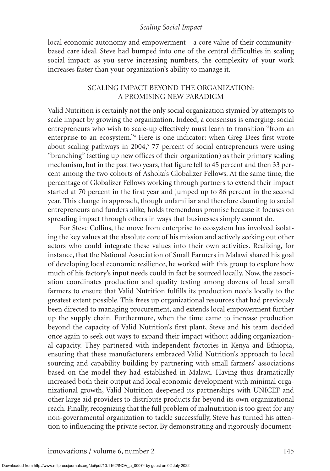local economic autonomy and empowerment—a core value of their communitybased care ideal. Steve had bumped into one of the central difficulties in scaling social impact: as you serve increasing numbers, the complexity of your work increases faster than your organization's ability to manage it.

### SCALING IMPACT BEYOND THE ORGANIZATION: A PROMISING NEW PARADIGM

Valid Nutrition is certainly not the only social organization stymied by attempts to scale impact by growing the organization. Indeed, a consensus is emerging: social entrepreneurs who wish to scale-up effectively must learn to transition "from an enterprise to an ecosystem."4 Here is one indicator: when Greg Dees first wrote about scaling pathways in 2004,<sup>5</sup> 77 percent of social entrepreneurs were using "branching" (setting up new offices of their organization) as their primary scaling mechanism, but in the past two years, that figure fell to 45 percent and then 33 percent among the two cohorts of Ashoka's Globalizer Fellows. At the same time, the percentage of Globalizer Fellows working through partners to extend their impact started at 70 percent in the first year and jumped up to 86 percent in the second year. This change in approach, though unfamiliar and therefore daunting to social entrepreneurs and funders alike, holds tremendous promise because it focuses on spreading impact through others in ways that businesses simply cannot do.

For Steve Collins, the move from enterprise to ecosystem has involved isolating the key values at the absolute core of his mission and actively seeking out other actors who could integrate these values into their own activities. Realizing, for instance, that the National Association of Small Farmers in Malawi shared his goal of developing local economic resilience, he worked with this group to explore how much of his factory's input needs could in fact be sourced locally. Now, the association coordinates production and quality testing among dozens of local small farmers to ensure that Valid Nutrition fulfills its production needs locally to the greatest extent possible. This frees up organizational resources that had previously been directed to managing procurement, and extends local empowerment further up the supply chain. Furthermore, when the time came to increase production beyond the capacity of Valid Nutrition's first plant, Steve and his team decided once again to seek out ways to expand their impact without adding organizational capacity. They partnered with independent factories in Kenya and Ethiopia, ensuring that these manufacturers embraced Valid Nutrition's approach to local sourcing and capability building by partnering with small farmers' associations based on the model they had established in Malawi. Having thus dramatically increased both their output and local economic development with minimal organizational growth, Valid Nutrition deepened its partnerships with UNICEF and other large aid providers to distribute products far beyond its own organizational reach. Finally, recognizing that the full problem of malnutrition is too great for any non-governmental organization to tackle successfully, Steve has turned his attention to influencing the private sector. By demonstrating and rigorously document-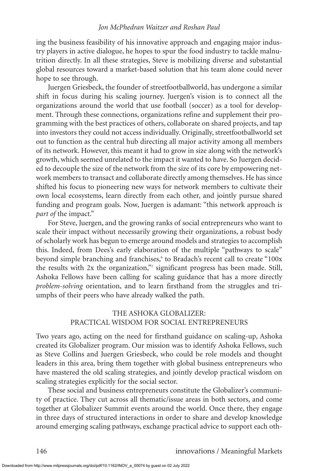#### *Jon McPhedran Waitzer and Roshan Paul*

ing the business feasibility of his innovative approach and engaging major industry players in active dialogue, he hopes to spur the food industry to tackle malnutrition directly. In all these strategies, Steve is mobilizing diverse and substantial global resources toward a market-based solution that his team alone could never hope to see through.

Juergen Griesbeck, the founder of streetfootballworld, has undergone a similar shift in focus during his scaling journey. Juergen's vision is to connect all the organizations around the world that use football (soccer) as a tool for development. Through these connections, organizations refine and supplement their programming with the best practices of others, collaborate on shared projects, and tap into investors they could not access individually. Originally, streetfootballworld set out to function as the central hub directing all major activity among all members of its network. However, this meant it had to grow in size along with the network's growth, which seemed unrelated to the impact it wanted to have. So Juergen decided to decouple the size of the network from the size of its core by empowering network members to transact and collaborate directly among themselves. He has since shifted his focus to pioneering new ways for network members to cultivate their own local ecosystems, learn directly from each other, and jointly pursue shared funding and program goals. Now, Juergen is adamant: "this network approach is *part of* the impact."

For Steve, Juergen, and the growing ranks of social entrepreneurs who want to scale their impact without necessarily growing their organizations, a robust body of scholarly work has begun to emerge around models and strategies to accomplish this. Indeed, from Dees's early elaboration of the multiple "pathways to scale" beyond simple branching and franchises,<sup>6</sup> to Bradach's recent call to create "100x the results with 2x the organization,"<sup>7</sup> significant progress has been made. Still, Ashoka Fellows have been calling for scaling guidance that has a more directly *problem-solving* orientation, and to learn firsthand from the struggles and triumphs of their peers who have already walked the path.

## THE ASHOKA GLOBALIZER: PRACTICAL WISDOM FOR SOCIAL ENTREPRENEURS

Two years ago, acting on the need for firsthand guidance on scaling-up, Ashoka created its Globalizer program. Our mission was to identify Ashoka Fellows, such as Steve Collins and Juergen Griesbeck, who could be role models and thought leaders in this area, bring them together with global business entrepreneurs who have mastered the old scaling strategies, and jointly develop practical wisdom on scaling strategies explicitly for the social sector.

These social and business entrepreneurs constitute the Globalizer's community of practice. They cut across all thematic/issue areas in both sectors, and come together at Globalizer Summit events around the world. Once there, they engage in three days of structured interactions in order to share and develop knowledge around emerging scaling pathways, exchange practical advice to support each oth-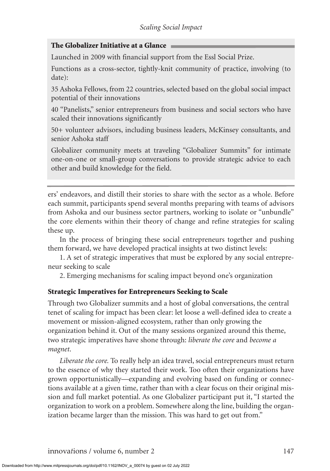# **The Globalizer Initiative at a Glance**

Launched in 2009 with financial support from the Essl Social Prize.

Functions as a cross-sector, tightly-knit community of practice, involving (to date):

35 Ashoka Fellows, from 22 countries, selected based on the global social impact potential of their innovations

40 "Panelists," senior entrepreneurs from business and social sectors who have scaled their innovations significantly

50+ volunteer advisors, including business leaders, McKinsey consultants, and senior Ashoka staff

Globalizer community meets at traveling "Globalizer Summits" for intimate one-on-one or small-group conversations to provide strategic advice to each other and build knowledge for the field.

ers' endeavors, and distill their stories to share with the sector as a whole. Before each summit, participants spend several months preparing with teams of advisors from Ashoka and our business sector partners, working to isolate or "unbundle" the core elements within their theory of change and refine strategies for scaling these up.

In the process of bringing these social entrepreneurs together and pushing them forward, we have developed practical insights at two distinct levels:

1. A set of strategic imperatives that must be explored by any social entrepreneur seeking to scale

2. Emerging mechanisms for scaling impact beyond one's organization

# **Strategic Imperatives for Entrepreneurs Seeking to Scale**

Through two Globalizer summits and a host of global conversations, the central tenet of scaling for impact has been clear: let loose a well-defined idea to create a movement or mission-aligned ecosystem, rather than only growing the organization behind it. Out of the many sessions organized around this theme, two strategic imperatives have shone through: *liberate the core* and *become a magnet*.

*Liberate the core.* To really help an idea travel, social entrepreneurs must return to the essence of why they started their work. Too often their organizations have grown opportunistically—expanding and evolving based on funding or connections available at a given time, rather than with a clear focus on their original mission and full market potential. As one Globalizer participant put it, "I started the organization to work on a problem. Somewhere along the line, building the organization became larger than the mission. This was hard to get out from."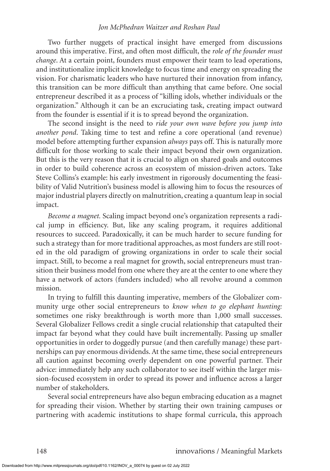#### *Jon McPhedran Waitzer and Roshan Paul*

Two further nuggets of practical insight have emerged from discussions around this imperative. First, and often most difficult, the *role of the founder must change*. At a certain point, founders must empower their team to lead operations, and institutionalize implicit knowledge to focus time and energy on spreading the vision. For charismatic leaders who have nurtured their innovation from infancy, this transition can be more difficult than anything that came before. One social entrepreneur described it as a process of "killing idols, whether individuals or the organization." Although it can be an excruciating task, creating impact outward from the founder is essential if it is to spread beyond the organization.

The second insight is the need to *ride your own wave before you jump into another pond*. Taking time to test and refine a core operational (and revenue) model before attempting further expansion *always* pays off. This is naturally more difficult for those working to scale their impact beyond their own organization. But this is the very reason that it is crucial to align on shared goals and outcomes in order to build coherence across an ecosystem of mission-driven actors. Take Steve Collins's example: his early investment in rigorously documenting the feasibility of Valid Nutrition's business model is allowing him to focus the resources of major industrial players directly on malnutrition, creating a quantum leap in social impact.

*Become a magnet.* Scaling impact beyond one's organization represents a radical jump in efficiency. But, like any scaling program, it requires additional resources to succeed. Paradoxically, it can be much harder to secure funding for such a strategy than for more traditional approaches, as most funders are still rooted in the old paradigm of growing organizations in order to scale their social impact. Still, to become a real magnet for growth, social entrepreneurs must transition their business model from one where they are at the center to one where they have a network of actors (funders included) who all revolve around a common mission.

In trying to fulfill this daunting imperative, members of the Globalizer community urge other social entrepreneurs to *know when to go elephant hunting:* sometimes one risky breakthrough is worth more than 1,000 small successes. Several Globalizer Fellows credit a single crucial relationship that catapulted their impact far beyond what they could have built incrementally. Passing up smaller opportunities in order to doggedly pursue (and then carefully manage) these partnerships can pay enormous dividends. At the same time, these social entrepreneurs all caution against becoming overly dependent on one powerful partner. Their advice: immediately help any such collaborator to see itself within the larger mission-focused ecosystem in order to spread its power and influence across a larger number of stakeholders.

Several social entrepreneurs have also begun embracing education as a magnet for spreading their vision. Whether by starting their own training campuses or partnering with academic institutions to shape formal curricula, this approach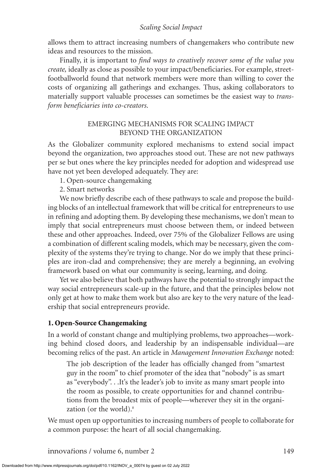allows them to attract increasing numbers of changemakers who contribute new ideas and resources to the mission.

Finally, it is important to *find ways to creatively recover some of the value you create,* ideally as close as possible to your impact/beneficiaries. For example, streetfootballworld found that network members were more than willing to cover the costs of organizing all gatherings and exchanges. Thus, asking collaborators to materially support valuable processes can sometimes be the easiest way to *transform beneficiaries into co-creators*.

# EMERGING MECHANISMS FOR SCALING IMPACT BEYOND THE ORGANIZATION

As the Globalizer community explored mechanisms to extend social impact beyond the organization, two approaches stood out. These are not new pathways per se but ones where the key principles needed for adoption and widespread use have not yet been developed adequately. They are:

1. Open-source changemaking

2. Smart networks

We now briefly describe each of these pathways to scale and propose the building blocks of an intellectual framework that will be critical for entrepreneurs to use in refining and adopting them. By developing these mechanisms, we don't mean to imply that social entrepreneurs must choose between them, or indeed between these and other approaches. Indeed, over 75% of the Globalizer Fellows are using a combination of different scaling models, which may be necessary, given the complexity of the systems they're trying to change. Nor do we imply that these principles are iron-clad and comprehensive; they are merely a beginning, an evolving framework based on what our community is seeing, learning, and doing.

Yet we also believe that both pathways have the potential to strongly impact the way social entrepreneurs scale-up in the future, and that the principles below not only get at how to make them work but also are key to the very nature of the leadership that social entrepreneurs provide.

# **1. Open-Source Changemaking**

In a world of constant change and multiplying problems, two approaches—working behind closed doors, and leadership by an indispensable individual—are becoming relics of the past. An article in *Management Innovation Exchange* noted:

The job description of the leader has officially changed from "smartest guy in the room" to chief promoter of the idea that "nobody" is as smart as "everybody". . .It's the leader's job to invite as many smart people into the room as possible, to create opportunities for and channel contributions from the broadest mix of people—wherever they sit in the organization (or the world).<sup>8</sup>

We must open up opportunities to increasing numbers of people to collaborate for a common purpose: the heart of all social changemaking.

innova*t*ions / volume 6, number 2 149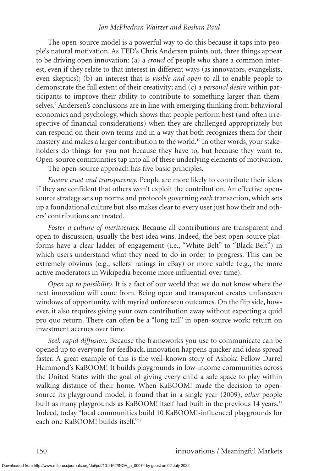#### *Jon McPhedran Waitzer and Roshan Paul*

The open-source model is a powerful way to do this because it taps into people's natural motivation. As TED's Chris Andersen points out, three things appear to be driving open innovation: (a) a *crowd* of people who share a common interest, even if they relate to that interest in different ways (as innovators, evangelists, even skeptics); (b) an interest that is *visible and open* to all to enable people to demonstrate the full extent of their creativity; and (c) a *personal desire* within participants to improve their ability to contribute to something larger than themselves.<sup>9</sup> Andersen's conclusions are in line with emerging thinking from behavioral economics and psychology, which shows that people perform best (and often irrespective of financial considerations) when they are challenged appropriately but can respond on their own terms and in a way that both recognizes them for their mastery and makes a larger contribution to the world.<sup>10</sup> In other words, your stakeholders do things for you not because they have to, but because they want to. Open-source communities tap into all of these underlying elements of motivation.

The open-source approach has five basic principles.

*Ensure trust and transparency.* People are more likely to contribute their ideas if they are confident that others won't exploit the contribution. An effective opensource strategy sets up norms and protocols governing *each* transaction, which sets up a foundational culture but also makes clear to every user just how their and others' contributions are treated.

*Foster a culture of meritocracy.* Because all contributions are transparent and open to discussion, usually the best idea wins. Indeed, the best open-source platforms have a clear ladder of engagement (i.e., "White Belt" to "Black Belt") in which users understand what they need to do in order to progress. This can be extremely obvious (e.g., sellers' ratings in eBay) or more subtle (e.g., the more active moderators in Wikipedia become more influential over time).

*Open up to possibility.* It is a fact of our world that we do not know where the next innovation will come from. Being open and transparent creates unforeseen windows of opportunity, with myriad unforeseen outcomes. On the flip side, however, it also requires giving your own contribution away without expecting a quid pro quo return. There can often be a "long tail" in open-source work: return on investment accrues over time.

*Seek rapid diffusion.* Because the frameworks you use to communicate can be opened up to everyone for feedback, innovation happens quicker and ideas spread faster. A great example of this is the well-known story of Ashoka Fellow Darrel Hammond's KaBOOM! It builds playgrounds in low-income communities across the United States with the goal of giving every child a safe space to play within walking distance of their home. When KaBOOM! made the decision to opensource its playground model, it found that in a single year (2009), *other* people built as many playgrounds as KaBOOM! itself had built in the previous 14 years.<sup>11</sup> Indeed, today "local communities build 10 KaBOOM!-influenced playgrounds for each one KaBOOM! builds itself."12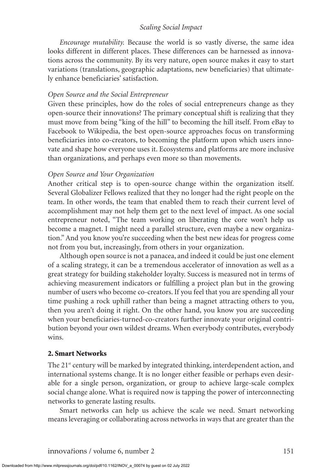*Encourage mutability.* Because the world is so vastly diverse, the same idea looks different in different places. These differences can be harnessed as innovations across the community. By its very nature, open source makes it easy to start variations (translations, geographic adaptations, new beneficiaries) that ultimately enhance beneficiaries' satisfaction.

# *Open Source and the Social Entrepreneur*

Given these principles, how do the roles of social entrepreneurs change as they open-source their innovations? The primary conceptual shift is realizing that they must move from being "king of the hill" to becoming the hill itself. From eBay to Facebook to Wikipedia, the best open-source approaches focus on transforming beneficiaries into co-creators, to becoming the platform upon which users innovate and shape how everyone uses it. Ecosystems and platforms are more inclusive than organizations, and perhaps even more so than movements.

# *Open Source and Your Organization*

Another critical step is to open-source change within the organization itself. Several Globalizer Fellows realized that they no longer had the right people on the team. In other words, the team that enabled them to reach their current level of accomplishment may not help them get to the next level of impact. As one social entrepreneur noted, "The team working on liberating the core won't help us become a magnet. I might need a parallel structure, even maybe a new organization." And you know you're succeeding when the best new ideas for progress come not from you but, increasingly, from others in your organization.

Although open source is not a panacea, and indeed it could be just one element of a scaling strategy, it can be a tremendous accelerator of innovation as well as a great strategy for building stakeholder loyalty. Success is measured not in terms of achieving measurement indicators or fulfilling a project plan but in the growing number of users who become co-creators. If you feel that you are spending all your time pushing a rock uphill rather than being a magnet attracting others to you, then you aren't doing it right. On the other hand, you know you are succeeding when your beneficiaries-turned-co-creators further innovate your original contribution beyond your own wildest dreams. When everybody contributes, everybody wins.

# **2. Smart Networks**

The  $21<sup>st</sup>$  century will be marked by integrated thinking, interdependent action, and international systems change. It is no longer either feasible or perhaps even desirable for a single person, organization, or group to achieve large-scale complex social change alone. What is required now is tapping the power of interconnecting networks to generate lasting results.

Smart networks can help us achieve the scale we need. Smart networking means leveraging or collaborating across networks in ways that are greater than the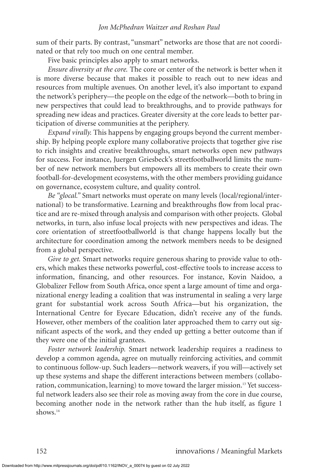sum of their parts. By contrast, "unsmart" networks are those that are not coordinated or that rely too much on one central member.

Five basic principles also apply to smart networks.

*Ensure diversity at the core.* The core or center of the network is better when it is more diverse because that makes it possible to reach out to new ideas and resources from multiple avenues. On another level, it's also important to expand the network's periphery—the people on the edge of the network—both to bring in new perspectives that could lead to breakthroughs, and to provide pathways for spreading new ideas and practices. Greater diversity at the core leads to better participation of diverse communities at the periphery.

*Expand virally.* This happens by engaging groups beyond the current membership. By helping people explore many collaborative projects that together give rise to rich insights and creative breakthroughs, smart networks open new pathways for success. For instance, Juergen Griesbeck's streetfootballworld limits the number of new network members but empowers all its members to create their own football-for-development ecosystems, with the other members providing guidance on governance, ecosystem culture, and quality control.

*Be "glocal."* Smart networks must operate on many levels (local/regional/international) to be transformative. Learning and breakthroughs flow from local practice and are re-mixed through analysis and comparison with other projects. Global networks, in turn, also infuse local projects with new perspectives and ideas. The core orientation of streetfootballworld is that change happens locally but the architecture for coordination among the network members needs to be designed from a global perspective.

*Give to get.* Smart networks require generous sharing to provide value to others, which makes these networks powerful, cost-effective tools to increase access to information, financing, and other resources. For instance, Kovin Naidoo, a Globalizer Fellow from South Africa, once spent a large amount of time and organizational energy leading a coalition that was instrumental in sealing a very large grant for substantial work across South Africa—but his organization, the International Centre for Eyecare Education, didn't receive any of the funds. However, other members of the coalition later approached them to carry out significant aspects of the work, and they ended up getting a better outcome than if they were one of the initial grantees.

*Foster network leadership.* Smart network leadership requires a readiness to develop a common agenda, agree on mutually reinforcing activities, and commit to continuous follow-up. Such leaders—network weavers, if you will—actively set up these systems and shape the different interactions between members (collaboration, communication, learning) to move toward the larger mission.13 Yet successful network leaders also see their role as moving away from the core in due course, becoming another node in the network rather than the hub itself, as figure 1 shows.14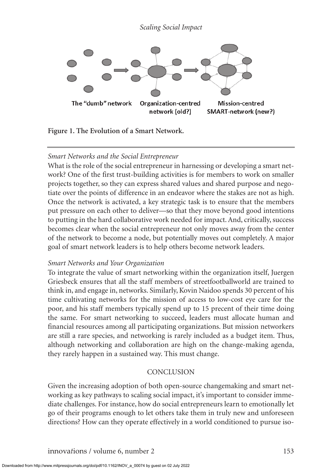

**Figure 1. The Evolution of a Smart Network.**

## *Smart Networks and the Social Entrepreneur*

What is the role of the social entrepreneur in harnessing or developing a smart network? One of the first trust-building activities is for members to work on smaller projects together, so they can express shared values and shared purpose and negotiate over the points of difference in an endeavor where the stakes are not as high. Once the network is activated, a key strategic task is to ensure that the members put pressure on each other to deliver—so that they move beyond good intentions to putting in the hard collaborative work needed for impact. And, critically, success becomes clear when the social entrepreneur not only moves away from the center of the network to become a node, but potentially moves out completely. A major goal of smart network leaders is to help others become network leaders.

## *Smart Networks and Your Organization*

To integrate the value of smart networking within the organization itself, Juergen Griesbeck ensures that all the staff members of streetfootballworld are trained to think in, and engage in, networks. Similarly, Kovin Naidoo spends 30 percent of his time cultivating networks for the mission of access to low-cost eye care for the poor, and his staff members typically spend up to 15 precent of their time doing the same. For smart networking to succeed, leaders must allocate human and financial resources among all participating organizations. But mission networkers are still a rare species, and networking is rarely included as a budget item. Thus, although networking and collaboration are high on the change-making agenda, they rarely happen in a sustained way. This must change.

## CONCLUSION

Given the increasing adoption of both open-source changemaking and smart networking as key pathways to scaling social impact, it's important to consider immediate challenges. For instance, how do social entrepreneurs learn to emotionally let go of their programs enough to let others take them in truly new and unforeseen directions? How can they operate effectively in a world conditioned to pursue iso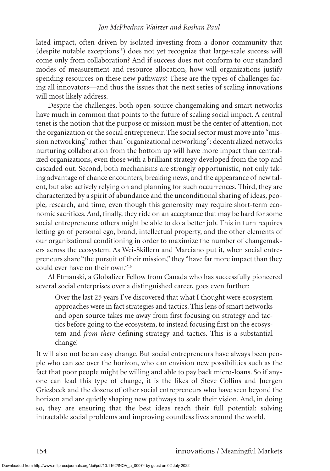lated impact, often driven by isolated investing from a donor community that (despite notable exceptions<sup>15</sup>) does not yet recognize that large-scale success will come only from collaboration? And if success does not conform to our standard modes of measurement and resource allocation, how will organizations justify spending resources on these new pathways? These are the types of challenges facing all innovators—and thus the issues that the next series of scaling innovations will most likely address.

Despite the challenges, both open-source changemaking and smart networks have much in common that points to the future of scaling social impact. A central tenet is the notion that the purpose or mission must be the center of attention, not the organization or the social entrepreneur. The social sector must move into "mission networking" rather than "organizational networking": decentralized networks nurturing collaboration from the bottom up will have more impact than centralized organizations, even those with a brilliant strategy developed from the top and cascaded out. Second, both mechanisms are strongly opportunistic, not only taking advantage of chance encounters, breaking news, and the appearance of new talent, but also actively relying on and planning for such occurrences. Third, they are characterized by a spirit of abundance and the unconditional sharing of ideas, people, research, and time, even though this generosity may require short-term economic sacrifices. And, finally, they ride on an acceptance that may be hard for some social entrepreneurs: others might be able to do a better job. This in turn requires letting go of personal ego, brand, intellectual property, and the other elements of our organizational conditioning in order to maximize the number of changemakers across the ecosystem. As Wei-Skillern and Marciano put it, when social entrepreneurs share "the pursuit of their mission," they "have far more impact than they could ever have on their own."16

Al Etmanski, a Globalizer Fellow from Canada who has successfully pioneered several social enterprises over a distinguished career, goes even further:

Over the last 25 years I've discovered that what I thought were ecosystem approaches were in fact strategies and tactics. This lens of smart networks and open source takes me away from first focusing on strategy and tactics before going to the ecosystem, to instead focusing first on the ecosystem and *from there* defining strategy and tactics. This is a substantial change!

It will also not be an easy change. But social entrepreneurs have always been people who can see over the horizon, who can envision new possibilities such as the fact that poor people might be willing and able to pay back micro-loans. So if anyone can lead this type of change, it is the likes of Steve Collins and Juergen Griesbeck and the dozens of other social entrepreneurs who have seen beyond the horizon and are quietly shaping new pathways to scale their vision. And, in doing so, they are ensuring that the best ideas reach their full potential: solving intractable social problems and improving countless lives around the world.